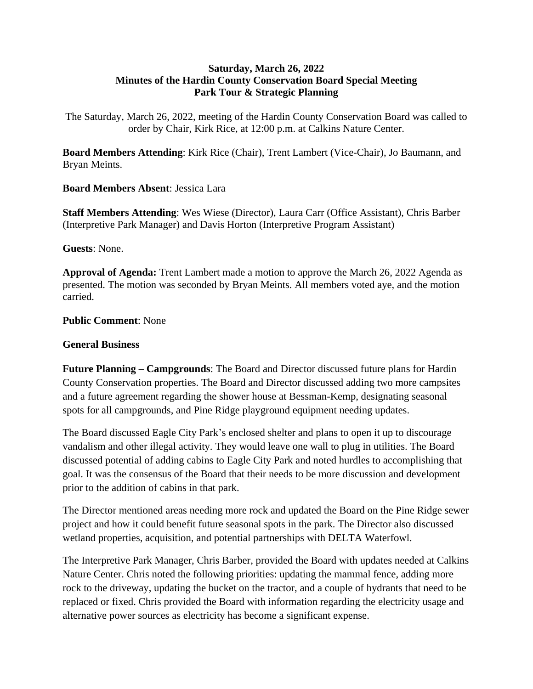## **Saturday, March 26, 2022 Minutes of the Hardin County Conservation Board Special Meeting Park Tour & Strategic Planning**

The Saturday, March 26, 2022, meeting of the Hardin County Conservation Board was called to order by Chair, Kirk Rice, at 12:00 p.m. at Calkins Nature Center.

**Board Members Attending**: Kirk Rice (Chair), Trent Lambert (Vice-Chair), Jo Baumann, and Bryan Meints.

## **Board Members Absent**: Jessica Lara

**Staff Members Attending**: Wes Wiese (Director), Laura Carr (Office Assistant), Chris Barber (Interpretive Park Manager) and Davis Horton (Interpretive Program Assistant)

**Guests**: None.

**Approval of Agenda:** Trent Lambert made a motion to approve the March 26, 2022 Agenda as presented. The motion was seconded by Bryan Meints. All members voted aye, and the motion carried.

**Public Comment**: None

## **General Business**

**Future Planning – Campgrounds**: The Board and Director discussed future plans for Hardin County Conservation properties. The Board and Director discussed adding two more campsites and a future agreement regarding the shower house at Bessman-Kemp, designating seasonal spots for all campgrounds, and Pine Ridge playground equipment needing updates.

The Board discussed Eagle City Park's enclosed shelter and plans to open it up to discourage vandalism and other illegal activity. They would leave one wall to plug in utilities. The Board discussed potential of adding cabins to Eagle City Park and noted hurdles to accomplishing that goal. It was the consensus of the Board that their needs to be more discussion and development prior to the addition of cabins in that park.

The Director mentioned areas needing more rock and updated the Board on the Pine Ridge sewer project and how it could benefit future seasonal spots in the park. The Director also discussed wetland properties, acquisition, and potential partnerships with DELTA Waterfowl.

The Interpretive Park Manager, Chris Barber, provided the Board with updates needed at Calkins Nature Center. Chris noted the following priorities: updating the mammal fence, adding more rock to the driveway, updating the bucket on the tractor, and a couple of hydrants that need to be replaced or fixed. Chris provided the Board with information regarding the electricity usage and alternative power sources as electricity has become a significant expense.